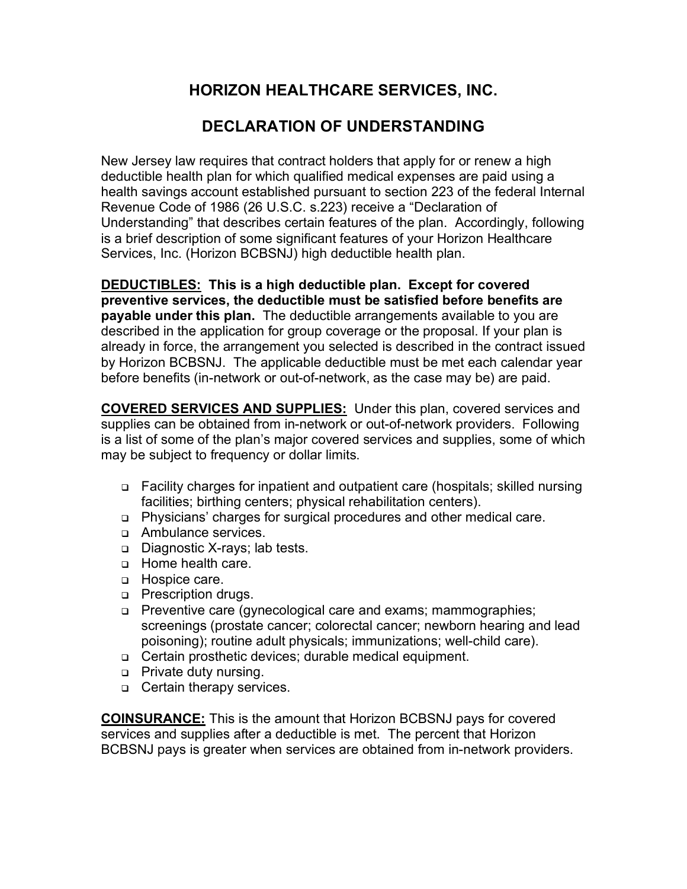## **HORIZON HEALTHCARE SERVICES, INC.**

## **DECLARATION OF UNDERSTANDING**

New Jersey law requires that contract holders that apply for or renew a high deductible health plan for which qualified medical expenses are paid using a health savings account established pursuant to section 223 of the federal Internal Revenue Code of 1986 (26 U.S.C. s.223) receive a "Declaration of Understanding" that describes certain features of the plan. Accordingly, following is a brief description of some significant features of your Horizon Healthcare Services, Inc. (Horizon BCBSNJ) high deductible health plan.

**DEDUCTIBLES: This is a high deductible plan. Except for covered preventive services, the deductible must be satisfied before benefits are payable under this plan.** The deductible arrangements available to you are described in the application for group coverage or the proposal. If your plan is already in force, the arrangement you selected is described in the contract issued by Horizon BCBSNJ. The applicable deductible must be met each calendar year before benefits (in-network or out-of-network, as the case may be) are paid.

**COVERED SERVICES AND SUPPLIES:** Under this plan, covered services and supplies can be obtained from in-network or out-of-network providers. Following is a list of some of the plan's major covered services and supplies, some of which may be subject to frequency or dollar limits.

- Facility charges for inpatient and outpatient care (hospitals; skilled nursing facilities; birthing centers; physical rehabilitation centers).
- Physicians' charges for surgical procedures and other medical care.
- **Ambulance services.**
- □ Diagnostic X-rays; lab tests.
- **Home health care.**
- **Hospice care.**
- **D** Prescription drugs.
- □ Preventive care (gynecological care and exams; mammographies; screenings (prostate cancer; colorectal cancer; newborn hearing and lead poisoning); routine adult physicals; immunizations; well-child care).
- □ Certain prosthetic devices; durable medical equipment.
- **Private duty nursing.**
- **Certain therapy services.**

**COINSURANCE:** This is the amount that Horizon BCBSNJ pays for covered services and supplies after a deductible is met. The percent that Horizon BCBSNJ pays is greater when services are obtained from in-network providers.